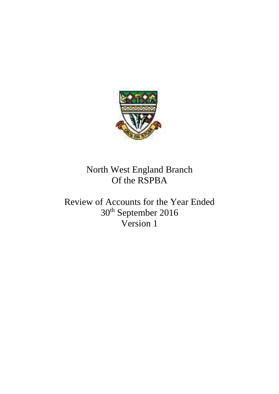

North West England Branch Of the RSPBA

Review of Accounts for the Year Ended 30th September 2016 Version 1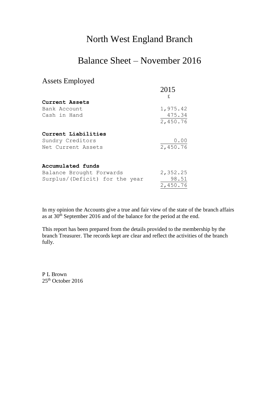## North West England Branch

## Balance Sheet – November 2016

## Assets Employed

|                                | 2015     |
|--------------------------------|----------|
|                                | £        |
| Current Assets                 |          |
| Bank Account                   | 1,975.42 |
| Cash in Hand                   | 475.34   |
|                                | 2,450.76 |
| Current Liabilities            |          |
|                                |          |
| Sundry Creditors               | 0.00     |
| Net Current Assets             | 2,450.76 |
|                                |          |
| Accumulated funds              |          |
| Balance Brought Forwards       | 2,352.25 |
| Surplus/(Deficit) for the year | 98.51    |
|                                | 2,450.76 |

In my opinion the Accounts give a true and fair view of the state of the branch affairs as at 30<sup>th</sup> September 2016 and of the balance for the period at the end.

This report has been prepared from the details provided to the membership by the branch Treasurer. The records kept are clear and reflect the activities of the branch fully.

P L Brown 25<sup>th</sup> October 2016